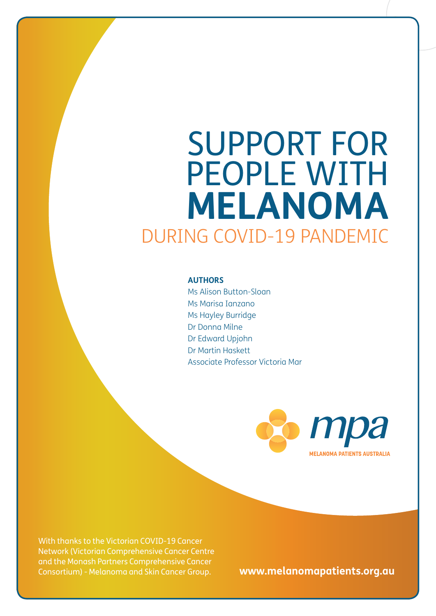# IN Y THE SUN SAFELY! SUPPORT FOR PEOPLE WITH **IELANOMA** 0-19 PANDEMIC **AUTHORS** Ms Alison Button-Sloan Marisa Ianzano ayley Burridge Dr Donna Milne ard Upjohn Dr Martin Hasket

Associate Professor Victoria Mar

**MELANOMA PATIENTS AUSTRALIA** 

Wear sunglasses to protect your executive your eyes from took and the protect your eyes from took and the protect your executive your executive your executive your executive your executive your executive your executive you much UV exposure. Pantas and long sleep the UV exposure. Pantas and long sleep the UV exposure Centre of the U<br>Network (Victorian Comprehensive Cancer Centre also protect Wictorian Comprehensive Cancer Centre<br>Cancer and the Monash Partners Comprehensive Cancer With thanks to the Victorian COVID-19 Cancer Consortium) - Melanoma and Skin Cancer Group.

PB SUPPORT FOR PEOPLE WITH **MELANOMA** DURING COVID-19 PANDEMIC SUPPORT FOR PEOPLE WITH **MELANOMA** DURING COVID-19 PANDEMIC 1

**www.melanomapatients.org.au**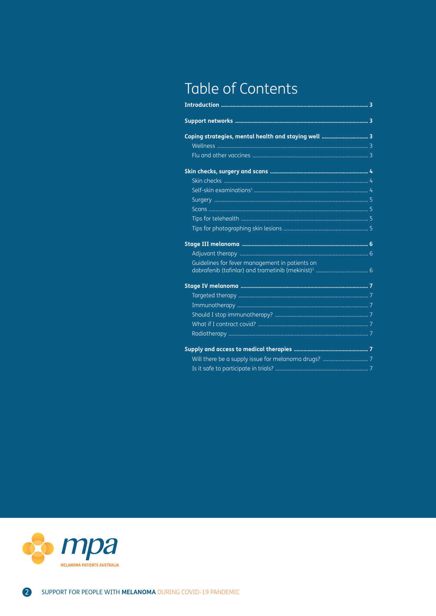# Table of Contents

| Guidelines for fever management in patients on |  |
|------------------------------------------------|--|
|                                                |  |
|                                                |  |
|                                                |  |
|                                                |  |
|                                                |  |
|                                                |  |
|                                                |  |
|                                                |  |
|                                                |  |

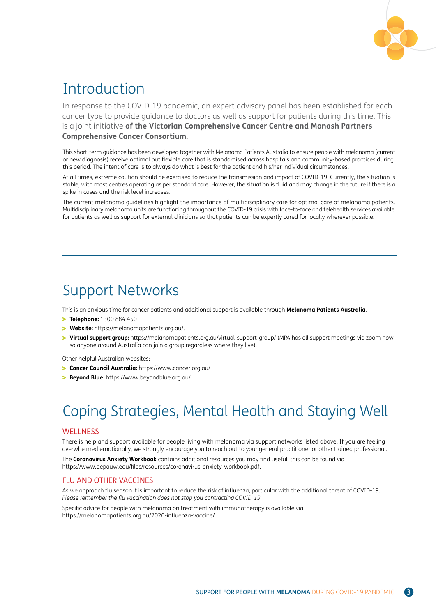

## Introduction

In response to the COVID-19 pandemic, an expert advisory panel has been established for each cancer type to provide guidance to doctors as well as support for patients during this time. This is a joint initiative **of the Victorian Comprehensive Cancer Centre and Monash Partners Comprehensive Cancer Consortium.** 

This short-term guidance has been developed together with Melanoma Patients Australia to ensure people with melanoma (current or new diagnosis) receive optimal but flexible care that is standardised across hospitals and community-based practices during this period. The intent of care is to always do what is best for the patient and his/her individual circumstances.

At all times, extreme caution should be exercised to reduce the transmission and impact of COVID-19. Currently, the situation is stable, with most centres operating as per standard care. However, the situation is fluid and may change in the future if there is a spike in cases and the risk level increases.

The current melanoma guidelines highlight the importance of multidisciplinary care for optimal care of melanoma patients. Multidisciplinary melanoma units are functioning throughout the COVID-19 crisis with face-to-face and telehealth services available for patients as well as support for external clinicians so that patients can be expertly cared for locally wherever possible.

## Support Networks

This is an anxious time for cancer patients and additional support is available through **Melanoma Patients Australia**.

- **Telephone:** 1300 884 450
- **Website:** https://melanomapatients.org.au/.
- **Virtual support group:** https://melanomapatients.org.au/virtual-support-group/ (MPA has all support meetings via zoom now so anyone around Australia can join a group regardless where they live).

Other helpful Australian websites:

- **Cancer Council Australia:** https://www.cancer.org.au/
- **Beyond Blue:** https://www.beyondblue.org.au/

# Coping Strategies, Mental Health and Staying Well

#### WELL NESS

There is help and support available for people living with melanoma via support networks listed above. If you are feeling overwhelmed emotionally, we strongly encourage you to reach out to your general practitioner or other trained professional.

The **Coronavirus Anxiety Workbook** contains additional resources you may find useful, this can be found via https://www.depauw.edu/files/resources/coronavirus-anxiety-workbook.pdf.

## FLU AND OTHER VACCINES

As we approach flu season it is important to reduce the risk of influenza, particular with the additional threat of COVID-19. *Please remember the flu vaccination does not stop you contracting COVID-19.*

Specific advice for people with melanoma on treatment with immunotherapy is available via https://melanomapatients.org.au/2020-influenza-vaccine/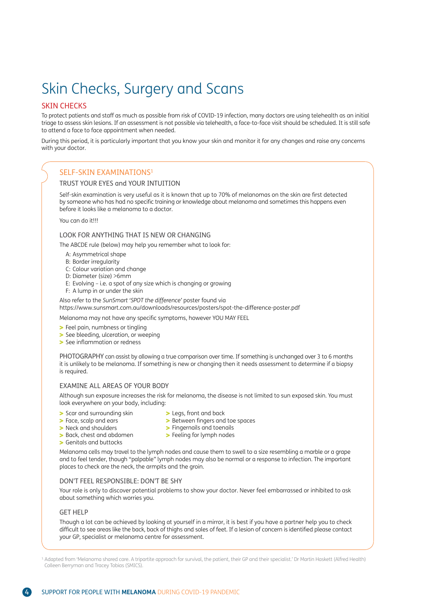# Skin Checks, Surgery and Scans

#### SKIN CHECKS

To protect patients and staff as much as possible from risk of COVID-19 infection, many doctors are using telehealth as an initial triage to assess skin lesions. If an assessment is not possible via telehealth, a face-to-face visit should be scheduled. It is still safe to attend a face to face appointment when needed.

During this period, it is particularly important that you know your skin and monitor it for any changes and raise any concerns with your doctor.

#### SELF-SKIN EXAMINATIONS1

#### TRUST YOUR EYES and YOUR INTUITION

Self-skin examination is very useful as it is known that up to 70% of melanomas on the skin are first detected by someone who has had no specific training or knowledge about melanoma and sometimes this happens even before it looks like a melanoma to a doctor.

You can do it!!!

#### LOOK FOR ANYTHING THAT IS NEW OR CHANGING

The ABCDE rule (below) may help you remember what to look for:

- A: Asymmetrical shape
- B: Border irregularity
- C: Colour variation and change
- D: Diameter (size) >6mm
- E: Evolving i.e. a spot of any size which is changing or growing
- F: A lump in or under the skin

Also refer to the *SunSmart 'SPOT the difference'* poster found via

https://www.sunsmart.com.au/downloads/resources/posters/spot-the-difference-poster.pdf

Melanoma may not have any specific symptoms, however YOU MAY FEEL

- > Feel pain, numbness or tingling
- > See bleeding, ulceration, or weeping
- > See inflammation or redness

PHOTOGRAPHY can assist by allowing a true comparison over time. If something is unchanged over 3 to 6 months it is unlikely to be melanoma. If something is new or changing then it needs assessment to determine if a biopsy is required.

#### EXAMINE ALL AREAS OF YOUR BODY

Although sun exposure increases the risk for melanoma, the disease is not limited to sun exposed skin. You must look everywhere on your body, including:

**>** Between fingers and toe spaces

- Scar and surrounding skin
- > Face, scalp and ears
- > Neck and shoulders > Back, chest and abdomen
- **>** Fingernails and toenails > Feeling for lymph nodes

> Legs, front and back

Genitals and buttocks

Melanoma cells may travel to the lymph nodes and cause them to swell to a size resembling a marble or a grape and to feel tender, though "palpable" lymph nodes may also be normal or a response to infection. The important places to check are the neck, the armpits and the groin.

#### DON'T FEEL RESPONSIBLE: DON'T BE SHY

Your role is only to discover potential problems to show your doctor. Never feel embarrassed or inhibited to ask about something which worries you.

#### GET HELP

Though a lot can be achieved by looking at yourself in a mirror, it is best if you have a partner help you to check difficult to see areas like the back, back of thighs and soles of feet. If a lesion of concern is identified please contact your GP, specialist or melanoma centre for assessment.

1. Adapted from 'Melanoma shared care. A tripartite approach for survival, the patient, their GP and their specialist.' Dr Martin Haskett (Alfred Health) Colleen Berryman and Tracey Tobias (SMICS).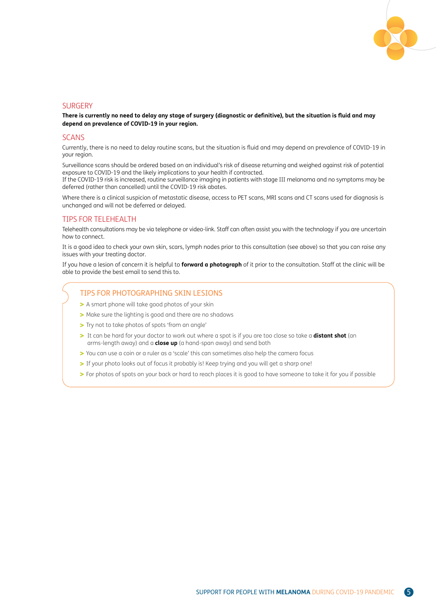

#### **SURGERY**

**There is currently no need to delay any stage of surgery (diagnostic or definitive), but the situation is fluid and may depend on prevalence of COVID-19 in your region.**

#### SCANS

Currently, there is no need to delay routine scans, but the situation is fluid and may depend on prevalence of COVID-19 in your region.

Surveillance scans should be ordered based on an individual's risk of disease returning and weighed against risk of potential exposure to COVID-19 and the likely implications to your health if contracted.

If the COVID-19 risk is increased, routine surveillance imaging in patients with stage III melanoma and no symptoms may be deferred (rather than cancelled) until the COVID-19 risk abates.

Where there is a clinical suspicion of metastatic disease, access to PET scans, MRI scans and CT scans used for diagnosis is unchanged and will not be deferred or delayed.

#### TIPS FOR TELEHEALTH

Telehealth consultations may be via telephone or video-link. Staff can often assist you with the technology if you are uncertain how to connect.

It is a good idea to check your own skin, scars, lymph nodes prior to this consultation (see above) so that you can raise any issues with your treating doctor.

If you have a lesion of concern it is helpful to **forward a photograph** of it prior to the consultation. Staff at the clinic will be able to provide the best email to send this to.

#### TIPS FOR PHOTOGRAPHING SKIN LESIONS

- A smart phone will take good photos of your skin
- > Make sure the lighting is good and there are no shadows
- > Try not to take photos of spots 'from an angle'
- > It can be hard for your doctor to work out where a spot is if you are too close so take a **distant shot** (an arms-length away) and a **close up** (a hand-span away) and send both
- You can use a coin or a ruler as a 'scale' this can sometimes also help the camera focus
- If your photo looks out of focus it probably is! Keep trying and you will get a sharp one!
- **>** For photos of spots on your back or hard to reach places it is good to have someone to take it for you if possible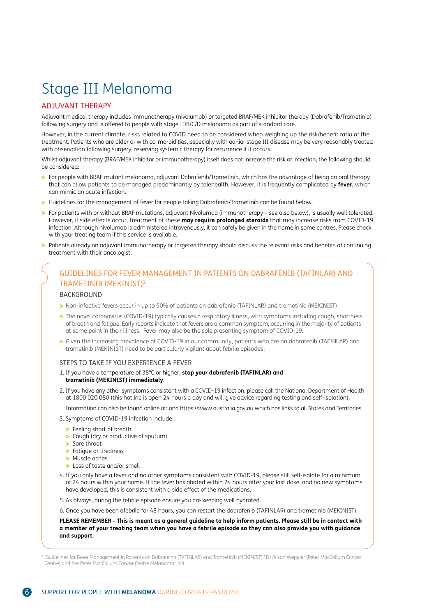## Stage III Melanoma

## ADJUVANT THERAPY

Adjuvant medical therapy includes immunotherapy (nivolumab) or targeted BRAF/MEK inhibitor therapy (Dabrafenib/Trametinib) following surgery and is offered to people with stage IIIB/C/D melanoma as part of standard care.

However, in the current climate, risks related to COVID need to be considered when weighing up the risk/benefit ratio of the treatment. Patients who are older or with co-morbidities, especially with earlier stage III disease may be very reasonably treated with observation following surgery, reserving systemic therapy for recurrence if it occurs.

Whilst adjuvant therapy (BRAF/MEK inhibitor or immunotherapy) itself does not increase the risk of infection, the following should be considered:

- For people with BRAF mutant melanoma, adjuvant Dabrafenib/Trametinib, which has the advantage of being an oral therapy that can allow patients to be managed predominantly by telehealth. However, it is frequently complicated by **fever**, which can mimic an acute infection.
- Guidelines for the management of fever for people taking Dabrafenib/Trametinib can be found below.
- For patients with or without BRAF mutations, adjuvant Nivolumab (immunotherapy see also below), is usually well tolerated. However, if side effects occur, treatment of these **may require prolonged steroids** that may increase risks from COVID-19 infection. Although nivolumab is administered intravenously, it can safely be given in the home in some centres. Please check with your treating team if this service is available.
- Patients already on adjuvant immunotherapy or targeted therapy should discuss the relevant risks and benefits of continuing treatment with their oncologist.

## GUIDELINES FOR FEVER MANAGEMENT IN PATIENTS ON DABRAFENIB (TAFINLAR) AND TRAMETINIB (MEKINIST)2

#### BACKGROUND

- Non-infective fevers occur in up to 50% of patients on dabrafenib (TAFINLAR) and trametinib (MEKINIST)
- The novel coronavirus (COVID-19) typically causes a respiratory illness, with symptoms including cough, shortness of breath and fatigue. Early reports indicate that fevers are a common symptom, occurring in the majority of patients at some point in their illness. Fever may also be the sole presenting symptom of COVID-19.
- Given the increasing prevalence of COVID-19 in our community, patients who are on dabrafenib (TAFINLAR) and trametinib (MEKINIST) need to be particularly vigilant about febrile episodes.

#### STEPS TO TAKE IF YOU EXPERIENCE A FEVER

- 1. If you have a temperature of 38°C or higher, **stop your dabrafenib (TAFINLAR) and trametinib (MEKINIST) immediately**.
- 2. If you have any other symptoms consistent with a COVID-19 infection, please call the National Department of Health at 1800 020 080 (this hotline is open 24 hours a day and will give advice regarding testing and self-isolation).

Information can also be found online at: and https://www.australia.gov.au which has links to all States and Territories.

- 3. Symptoms of COVID-19 infection include:
	- **>** Feeling short of breath
	- Cough (dry or productive of sputum)
	- > Sore throat
	- **>** Fatigue or tiredness
	- > Muscle aches
	- Loss of taste and/or smell
- 4. If you only have a fever and no other symptoms consistent with COVID-19, please still self-isolate for a minimum of 24 hours within your home. If the fever has abated within 24 hours after your last dose, and no new symptoms have developed, this is consistent with a side effect of the medications.
- 5. As always, during the febrile episode ensure you are keeping well hydrated.
- 6. Once you have been afebrile for 48 hours, you can restart the dabrafenib (TAFINLAR) and trametinib (MEKINIST).

#### **PLEASE REMEMBER - This is meant as a general guideline to help inform patients. Please still be in contact with a member of your treating team when you have a febrile episode so they can also provide you with guidance and support.**

<sup>2. &#</sup>x27;Guidelines for Fever Management in Patients on Dabrafenib (TAFINLAR) and Trametinib (MEKINIST).' Dr Alison Weppler (Peter MacCallum Cancer Centre) and the Peter MacCallum Cancer Centre Melanoma Unit.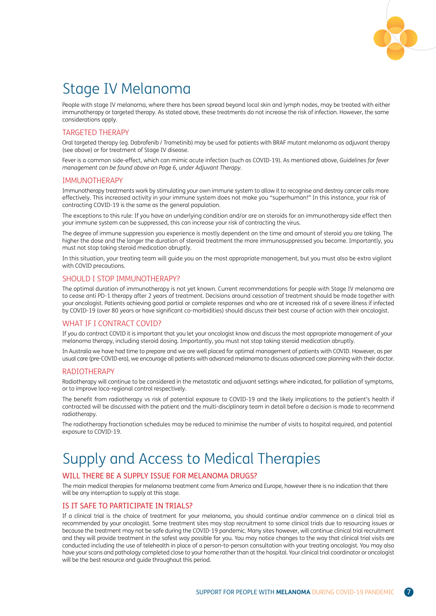

## Stage IV Melanoma

People with stage IV melanoma, where there has been spread beyond local skin and lymph nodes, may be treated with either immunotherapy or targeted therapy. As stated above, these treatments do not increase the risk of infection. However, the same considerations apply.

## TARGETED THERAPY

Oral targeted therapy (eg. Dabrafenib / Trametinib) may be used for patients with BRAF mutant melanoma as adjuvant therapy (see above) or for treatment of Stage IV disease.

Fever is a common side-effect, which can mimic acute infection (such as COVID-19). As mentioned above, *Guidelines for fever management can be found above on Page 6, under Adjuvant Therapy.*

## IMMUNOTHERAPY

Immunotherapy treatments work by stimulating your own immune system to allow it to recognise and destroy cancer cells more effectively. This increased activity in your immune system does not make you "superhuman!" In this instance, your risk of contracting COVID-19 is the same as the general population.

The exceptions to this rule: If you have an underlying condition and/or are on steroids for an immunotherapy side effect then your immune system can be suppressed, this can increase your risk of contracting the virus.

The degree of immune suppression you experience is mostly dependent on the time and amount of steroid you are taking. The higher the dose and the longer the duration of steroid treatment the more immunosuppressed you become. Importantly, you must not stop taking steroid medication abruptly.

In this situation, your treating team will guide you on the most appropriate management, but you must also be extra vigilant with COVID precautions.

## SHOULD I STOP IMMUNOTHERAPY?

The optimal duration of immunotherapy is not yet known. Current recommendations for people with Stage IV melanoma are to cease anti PD-1 therapy after 2 years of treatment. Decisions around cessation of treatment should be made together with your oncologist. Patients achieving good partial or complete responses and who are at increased risk of a severe illness if infected by COVID-19 (over 80 years or have significant co-morbidities) should discuss their best course of action with their oncologist.

#### WHAT IF I CONTRACT COVID?

If you do contract COVID it is important that you let your oncologist know and discuss the most appropriate management of your melanoma therapy, including steroid dosing. Importantly, you must not stop taking steroid medication abruptly.

In Australia we have had time to prepare and we are well placed for optimal management of patients with COVID. However, as per usual care (pre-COVID era), we encourage all patients with advanced melanoma to discuss advanced care planning with their doctor.

#### RADIOTHERAPY

Radiotherapy will continue to be considered in the metastatic and adjuvant settings where indicated, for palliation of symptoms, or to improve loco-regional control respectively.

The benefit from radiotherapy vs risk of potential exposure to COVID-19 and the likely implications to the patient's health if contracted will be discussed with the patient and the multi-disciplinary team in detail before a decision is made to recommend radiotherapy.

The radiotherapy fractionation schedules may be reduced to minimise the number of visits to hospital required, and potential exposure to COVID-19.

# Supply and Access to Medical Therapies

## WILL THERE BE A SUPPLY ISSUE FOR MELANOMA DRUGS?

The main medical therapies for melanoma treatment come from America and Europe, however there is no indication that there will be any interruption to supply at this stage.

## IS IT SAFE TO PARTICIPATE IN TRIALS?

If a clinical trial is the choice of treatment for your melanoma, you should continue and/or commence on a clinical trial as recommended by your oncologist. Some treatment sites may stop recruitment to some clinical trials due to resourcing issues or because the treatment may not be safe during the COVID-19 pandemic. Many sites however, will continue clinical trial recruitment and they will provide treatment in the safest way possible for you. You may notice changes to the way that clinical trial visits are conducted including the use of telehealth in place of a person-to-person consultation with your treating oncologist. You may also have your scans and pathology completed close to your home rather than at the hospital. Your clinical trial coordinator or oncologist will be the best resource and guide throughout this period.